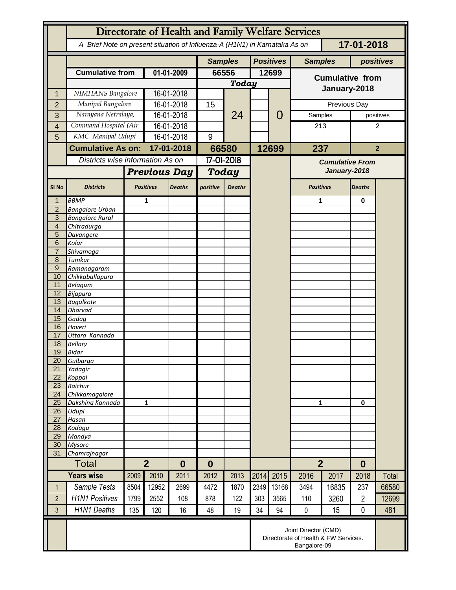|                                  | Directorate of Health and Family Welfare Services                                        |                          |                     |                |            |               |                  |                |                        |           |                |                |  |
|----------------------------------|------------------------------------------------------------------------------------------|--------------------------|---------------------|----------------|------------|---------------|------------------|----------------|------------------------|-----------|----------------|----------------|--|
|                                  | A Brief Note on present situation of Influenza-A (H1N1) in Karnataka As on<br>17-01-2018 |                          |                     |                |            |               |                  |                |                        |           |                |                |  |
|                                  |                                                                                          |                          |                     | <b>Samples</b> |            |               | <b>Positives</b> | <b>Samples</b> |                        | positives |                |                |  |
|                                  | <b>Cumulative from</b>                                                                   |                          | 01-01-2009          |                | 66556      |               |                  | 12699          | <b>Cumulative from</b> |           |                |                |  |
|                                  |                                                                                          |                          |                     |                | Today      |               |                  |                |                        |           |                |                |  |
|                                  |                                                                                          | NIMHANS Bangalore        |                     | 16-01-2018     |            | 24            |                  |                | January-2018           |           |                |                |  |
| $\overline{2}$                   | Manipal Bangalore                                                                        |                          | 16-01-2018          |                | 15         |               |                  |                | Previous Day           |           |                |                |  |
| 3                                | Narayana Netralaya,                                                                      |                          | 16-01-2018          |                |            |               |                  | 0              | Samples                |           | positives      |                |  |
| 4                                | Command Hospital (Air                                                                    |                          | 16-01-2018          |                |            |               |                  |                | 213                    |           | 2              |                |  |
| 5                                | KMC Manipal Udupi                                                                        |                          | 16-01-2018          |                | 9          |               |                  |                |                        |           |                |                |  |
|                                  |                                                                                          | <b>Cumulative As on:</b> |                     | 17-01-2018     |            | 66580         |                  | 12699          | 237                    |           |                | $\overline{2}$ |  |
|                                  | Districts wise information As on                                                         |                          |                     |                | 17-01-2018 |               |                  |                | <b>Cumulative From</b> |           |                |                |  |
|                                  |                                                                                          |                          | <b>Previous Day</b> |                | Today      |               |                  |                | January-2018           |           |                |                |  |
|                                  |                                                                                          |                          |                     |                |            |               |                  |                |                        |           |                |                |  |
| SI <sub>No</sub>                 | <b>Districts</b>                                                                         |                          | <b>Positives</b>    | <b>Deaths</b>  | positive   | <b>Deaths</b> |                  |                | <b>Positives</b>       |           | <b>Deaths</b>  |                |  |
|                                  | <b>BBMP</b>                                                                              |                          | 1                   |                |            |               |                  |                | 1                      |           | 0              |                |  |
| $\overline{2}$                   | <b>Bangalore Urban</b>                                                                   |                          |                     |                |            |               |                  |                |                        |           |                |                |  |
| $\overline{3}$<br>$\overline{4}$ | <b>Bangalore Rural</b><br>Chitradurga                                                    |                          |                     |                |            |               |                  |                |                        |           |                |                |  |
| 5                                | Davangere                                                                                |                          |                     |                |            |               |                  |                |                        |           |                |                |  |
| 6                                | Kolar                                                                                    |                          |                     |                |            |               |                  |                |                        |           |                |                |  |
| $\overline{7}$                   | Shivamoga                                                                                |                          |                     |                |            |               |                  |                |                        |           |                |                |  |
| 8                                | Tumkur                                                                                   |                          |                     |                |            |               |                  |                |                        |           |                |                |  |
| $\overline{9}$<br>10             | Ramanagaram<br>Chikkaballapura                                                           |                          |                     |                |            |               |                  |                |                        |           |                |                |  |
| 11                               | <b>Belagum</b>                                                                           |                          |                     |                |            |               |                  |                |                        |           |                |                |  |
| 12                               | <b>Bijapura</b>                                                                          |                          |                     |                |            |               |                  |                |                        |           |                |                |  |
| 13                               | <b>Bagalkote</b>                                                                         |                          |                     |                |            |               |                  |                |                        |           |                |                |  |
| 14                               | <b>Dharvad</b>                                                                           |                          |                     |                |            |               |                  |                |                        |           |                |                |  |
| 15<br>16                         | Gadag<br>Haveri                                                                          |                          |                     |                |            |               |                  |                |                        |           |                |                |  |
| 17                               | Uttara Kannada                                                                           |                          |                     |                |            |               |                  |                |                        |           |                |                |  |
| 18                               | <b>Bellary</b>                                                                           |                          |                     |                |            |               |                  |                |                        |           |                |                |  |
| 19                               | <b>Bidar</b>                                                                             |                          |                     |                |            |               |                  |                |                        |           |                |                |  |
| 20                               | Gulbarga                                                                                 |                          |                     |                |            |               |                  |                |                        |           |                |                |  |
| 21<br>22                         | Yadagir<br>Koppal                                                                        |                          |                     |                |            |               |                  |                |                        |           |                |                |  |
| 23                               | Raichur                                                                                  |                          |                     |                |            |               |                  |                |                        |           |                |                |  |
| 24                               | Chikkamagalore                                                                           |                          |                     |                |            |               |                  |                | 1                      |           |                |                |  |
| 25                               | Dakshina Kannada                                                                         | 1                        |                     |                |            |               |                  |                |                        |           | 0              |                |  |
| 26<br>27                         | Udupi<br>Hasan                                                                           |                          |                     |                |            |               |                  |                |                        |           |                |                |  |
| 28                               | Kodagu                                                                                   |                          |                     |                |            |               |                  |                |                        |           |                |                |  |
| 29                               | Mandya                                                                                   |                          |                     |                |            |               |                  |                |                        |           |                |                |  |
| 30                               | <b>Mysore</b>                                                                            |                          |                     |                |            |               |                  |                |                        |           |                |                |  |
| 31                               | Chamrajnagar                                                                             |                          |                     | $\bf{0}$       |            |               |                  |                |                        |           |                |                |  |
|                                  | Total                                                                                    |                          | $\overline{2}$      |                | $\bf{0}$   |               |                  |                | $\overline{2}$         |           | $\bf{0}$       |                |  |
|                                  | <b>Years wise</b>                                                                        | 2009                     | 2010                | 2011           | 2012       | 2013          | 2014             | 2015           | 2016                   | 2017      | 2018           | Total          |  |
| 1                                | Sample Tests                                                                             | 8504                     | 12952               | 2699           | 4472       | 1870          | 2349             | 13168          | 3494                   | 16835     | 237            | 66580          |  |
| $\overline{2}$                   | <b>H1N1 Positives</b>                                                                    | 1799                     | 2552                | 108            | 878        | 122           | 303              | 3565           | 110                    | 3260      | $\overline{2}$ | 12699          |  |
| 3                                | <b>H1N1 Deaths</b>                                                                       | 135                      | 120                 | 16             | 48         | 19            | 34               | 94             | $\pmb{0}$              | 15        | $\mathbf 0$    | 481            |  |
|                                  | Joint Director (CMD)<br>Directorate of Health & FW Services.<br>Bangalore-09             |                          |                     |                |            |               |                  |                |                        |           |                |                |  |